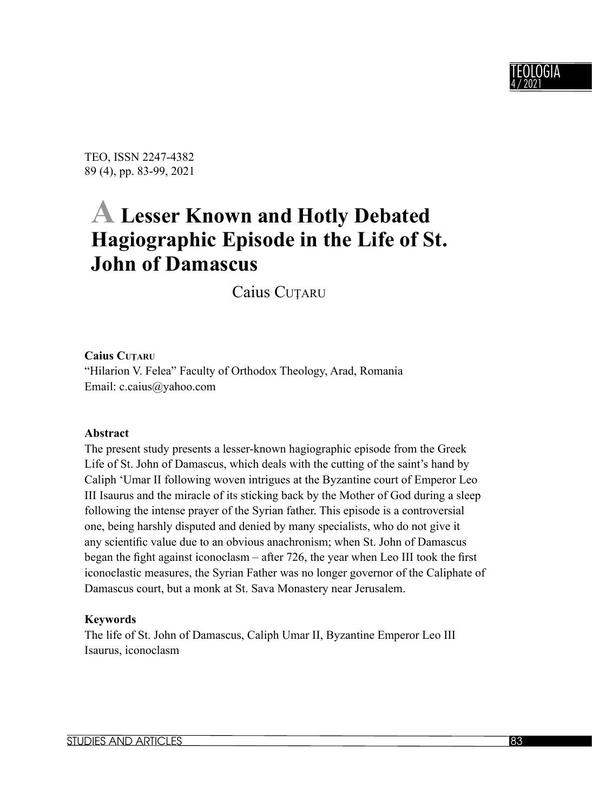

TEO, ISSN 2247-4382 89 (4), pp. 83-99, 2021

# **A Lesser Known and Hotly Debated Hagiographic Episode in the Life of St. John of Damascus**

Caius CUŢARU

#### **Caius CUŢARU**

"Hilarion V. Felea" Faculty of Orthodox Theology, Arad, Romania Email: c.caius@yahoo.com

#### **Abstract**

The present study presents a lesser-known hagiographic episode from the Greek Life of St. John of Damascus, which deals with the cutting of the saint's hand by Caliph ʻUmar II following woven intrigues at the Byzantine court of Emperor Leo III Isaurus and the miracle of its sticking back by the Mother of God during a sleep following the intense prayer of the Syrian father. This episode is a controversial one, being harshly disputed and denied by many specialists, who do not give it any scientific value due to an obvious anachronism; when St. John of Damascus began the fight against iconoclasm  $-$  after 726, the year when Leo III took the first iconoclastic measures, the Syrian Father was no longer governor of the Caliphate of Damascus court, but a monk at St. Sava Monastery near Jerusalem.

#### **Keywords**

The life of St. John of Damascus, Caliph Umar II, Byzantine Emperor Leo III Isaurus, iconoclasm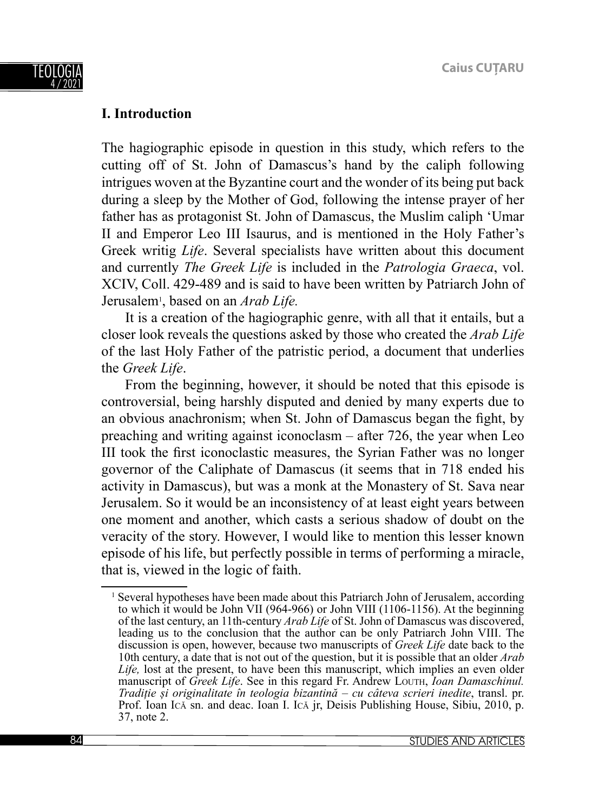

## **I. Introduction**

The hagiographic episode in question in this study, which refers to the cutting off of St. John of Damascus's hand by the caliph following intrigues woven at the Byzantine court and the wonder of its being put back during a sleep by the Mother of God, following the intense prayer of her father has as protagonist St. John of Damascus, the Muslim caliph ʻUmar II and Emperor Leo III Isaurus, and is mentioned in the Holy Father's Greek writig *Life*. Several specialists have written about this document and currently *The Greek Life* is included in the *Patrologia Graeca*, vol. XCIV, Coll. 429-489 and is said to have been written by Patriarch John of Jerusalem<sup>1</sup>, based on an *Arab Life*.

It is a creation of the hagiographic genre, with all that it entails, but a closer look reveals the questions asked by those who created the *Arab Life* of the last Holy Father of the patristic period, a document that underlies the *Greek Life*.

From the beginning, however, it should be noted that this episode is controversial, being harshly disputed and denied by many experts due to an obvious anachronism; when St. John of Damascus began the fight, by preaching and writing against iconoclasm – after 726, the year when Leo III took the first iconoclastic measures, the Syrian Father was no longer governor of the Caliphate of Damascus (it seems that in 718 ended his activity in Damascus), but was a monk at the Monastery of St. Sava near Jerusalem. So it would be an inconsistency of at least eight years between one moment and another, which casts a serious shadow of doubt on the veracity of the story. However, I would like to mention this lesser known episode of his life, but perfectly possible in terms of performing a miracle, that is, viewed in the logic of faith.

<sup>&</sup>lt;sup>1</sup> Several hypotheses have been made about this Patriarch John of Jerusalem, according to which it would be John VII (964-966) or John VIII (1106-1156). At the beginning of the last century, an 11th-century *Arab Life* of St. John of Damascus was discovered, leading us to the conclusion that the author can be only Patriarch John VIII. The discussion is open, however, because two manuscripts of *Greek Life* date back to the 10th century, a date that is not out of the question, but it is possible that an older *Arab Life,* lost at the present, to have been this manuscript, which implies an even older manuscript of *Greek Life*. See in this regard Fr. Andrew LOUTH, *Ioan Damaschinul. Tradiție și originalitate în teologia bizantină – cu câteva scrieri inedite*, transl. pr. Prof. Ioan ICĂ sn. and deac. Ioan I. ICĂ jr, Deisis Publishing House, Sibiu, 2010, p. 37, note 2.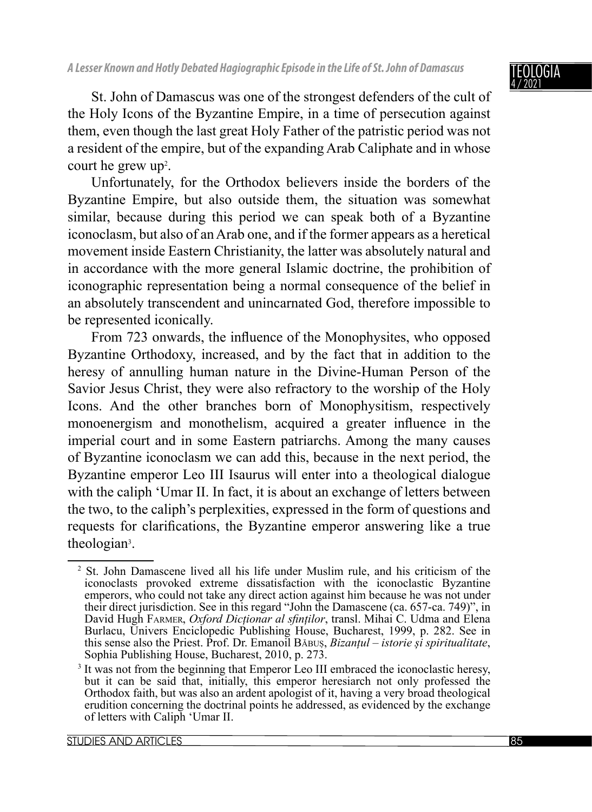### TEOLOGIA 4 / 2021

St. John of Damascus was one of the strongest defenders of the cult of the Holy Icons of the Byzantine Empire, in a time of persecution against them, even though the last great Holy Father of the patristic period was not a resident of the empire, but of the expanding Arab Caliphate and in whose court he grew up<sup>2</sup>.

Unfortunately, for the Orthodox believers inside the borders of the Byzantine Empire, but also outside them, the situation was somewhat similar, because during this period we can speak both of a Byzantine iconoclasm, but also of an Arab one, and if the former appears as a heretical movement inside Eastern Christianity, the latter was absolutely natural and in accordance with the more general Islamic doctrine, the prohibition of iconographic representation being a normal consequence of the belief in an absolutely transcendent and unincarnated God, therefore impossible to be represented iconically.

From 723 onwards, the influence of the Monophysites, who opposed Byzantine Orthodoxy, increased, and by the fact that in addition to the heresy of annulling human nature in the Divine-Human Person of the Savior Jesus Christ, they were also refractory to the worship of the Holy Icons. And the other branches born of Monophysitism, respectively monoenergism and monothelism, acquired a greater influence in the imperial court and in some Eastern patriarchs. Among the many causes of Byzantine iconoclasm we can add this, because in the next period, the Byzantine emperor Leo III Isaurus will enter into a theological dialogue with the caliph 'Umar II. In fact, it is about an exchange of letters between the two, to the caliph's perplexities, expressed in the form of questions and requests for clarifications, the Byzantine emperor answering like a true theologian<sup>3</sup>.

<sup>2</sup> St. John Damascene lived all his life under Muslim rule, and his criticism of the iconoclasts provoked extreme dissatisfaction with the iconoclastic Byzantine emperors, who could not take any direct action against him because he was not under their direct jurisdiction. See in this regard "John the Damascene (ca. 657-ca. 749)", in David Hugh FARMER, *Oxford Dicționar al sfi nților*, transl. Mihai C. Udma and Elena Burlacu, Univers Enciclopedic Publishing House, Bucharest, 1999, p. 282. See in this sense also the Priest. Prof. Dr. Emanoil BĂBUȘ, *Bizanțul – istorie și spiritualitate*, Sophia Publishing House, Bucharest, 2010, p. 273.

<sup>&</sup>lt;sup>3</sup> It was not from the beginning that Emperor Leo III embraced the iconoclastic heresy, but it can be said that, initially, this emperor heresiarch not only professed the Orthodox faith, but was also an ardent apologist of it, having a very broad theological erudition concerning the doctrinal points he addressed, as evidenced by the exchange of letters with Caliph ʻUmar II.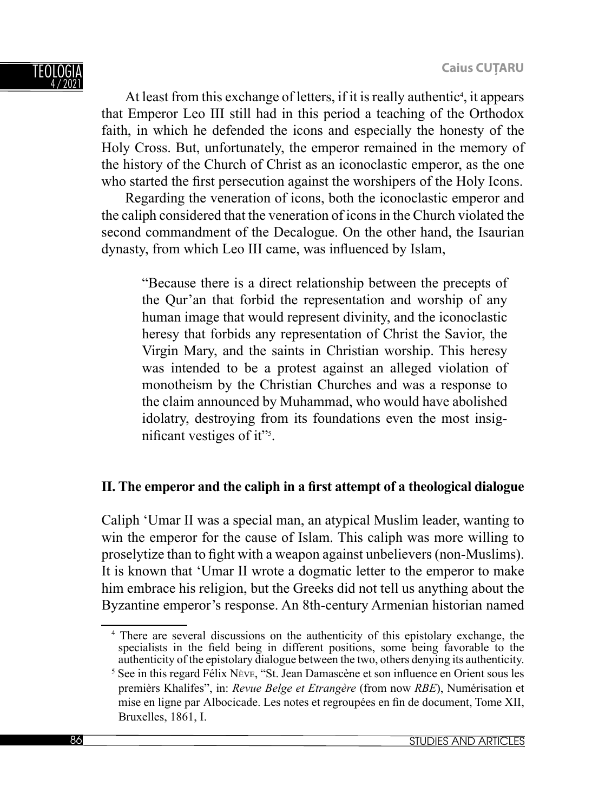At least from this exchange of letters, if it is really authentic<sup>4</sup>, it appears that Emperor Leo III still had in this period a teaching of the Orthodox faith, in which he defended the icons and especially the honesty of the Holy Cross. But, unfortunately, the emperor remained in the memory of the history of the Church of Christ as an iconoclastic emperor, as the one who started the first persecution against the worshipers of the Holy Icons.

Regarding the veneration of icons, both the iconoclastic emperor and the caliph considered that the veneration of icons in the Church violated the second commandment of the Decalogue. On the other hand, the Isaurian dynasty, from which Leo III came, was influenced by Islam,

"Because there is a direct relationship between the precepts of the Qur'an that forbid the representation and worship of any human image that would represent divinity, and the iconoclastic heresy that forbids any representation of Christ the Savior, the Virgin Mary, and the saints in Christian worship. This heresy was intended to be a protest against an alleged violation of monotheism by the Christian Churches and was a response to the claim announced by Muhammad, who would have abolished idolatry, destroying from its foundations even the most insignificant vestiges of it"<sup>5</sup>.

# **II.** The emperor and the caliph in a first attempt of a theological dialogue

Caliph ʻUmar II was a special man, an atypical Muslim leader, wanting to win the emperor for the cause of Islam. This caliph was more willing to proselytize than to fight with a weapon against unbelievers (non-Muslims). It is known that ʻUmar II wrote a dogmatic letter to the emperor to make him embrace his religion, but the Greeks did not tell us anything about the Byzantine emperor's response. An 8th-century Armenian historian named

<sup>4</sup> There are several discussions on the authenticity of this epistolary exchange, the specialists in the field being in different positions, some being favorable to the authenticity of the epistolary dialogue between the two, others denying its authenticity.

<sup>&</sup>lt;sup>5</sup> See in this regard Félix Nève, "St. Jean Damascène et son influence en Orient sous les premièrs Khalifes", in: *Revue Belge et Etrangère* (from now *RBE*), Numérisation et mise en ligne par Albocicade. Les notes et regroupées en fin de document, Tome XII, Bruxelles, 1861, I.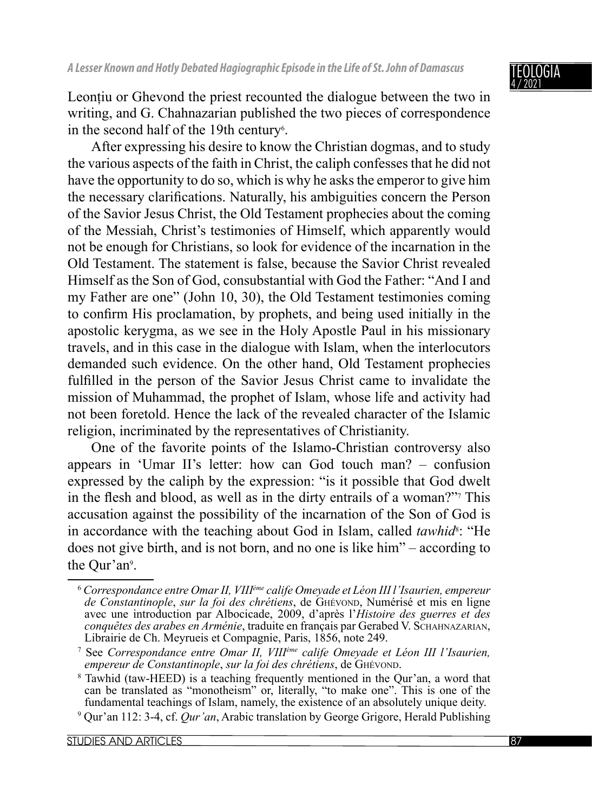

Leonțiu or Ghevond the priest recounted the dialogue between the two in writing, and G. Chahnazarian published the two pieces of correspondence in the second half of the 19th century<sup>6</sup>.

After expressing his desire to know the Christian dogmas, and to study the various aspects of the faith in Christ, the caliph confesses that he did not have the opportunity to do so, which is why he asks the emperor to give him the necessary clarifications. Naturally, his ambiguities concern the Person of the Savior Jesus Christ, the Old Testament prophecies about the coming of the Messiah, Christ's testimonies of Himself, which apparently would not be enough for Christians, so look for evidence of the incarnation in the Old Testament. The statement is false, because the Savior Christ revealed Himself as the Son of God, consubstantial with God the Father: "And I and my Father are one" (John 10, 30), the Old Testament testimonies coming to confirm His proclamation, by prophets, and being used initially in the apostolic kerygma, as we see in the Holy Apostle Paul in his missionary travels, and in this case in the dialogue with Islam, when the interlocutors demanded such evidence. On the other hand, Old Testament prophecies fulfilled in the person of the Savior Jesus Christ came to invalidate the mission of Muhammad, the prophet of Islam, whose life and activity had not been foretold. Hence the lack of the revealed character of the Islamic religion, incriminated by the representatives of Christianity.

One of the favorite points of the Islamo-Christian controversy also appears in ʻUmar II's letter: how can God touch man? – confusion expressed by the caliph by the expression: "is it possible that God dwelt in the flesh and blood, as well as in the dirty entrails of a woman?"<sup>7</sup> This accusation against the possibility of the incarnation of the Son of God is in accordance with the teaching about God in Islam, called *tawhid*<sup>8</sup>: "He does not give birth, and is not born, and no one is like him" – according to the Qur'an<sup>9</sup>.

<sup>6</sup> *Correspondance entre Omar II, VIIIème calife Omeyade et Léon III l'Isaurien, empereur de Constantinople*, *sur la foi des chrétiens*, de GHÉVOND, Numérisé et mis en ligne avec une introduction par Albocicade, 2009, d'après l'*Histoire des guerres et des conquêtes des arabes en Arménie*, traduite en français par Gerabed V. SCHAHNAZARIAN, Librairie de Ch. Meyrueis et Compagnie, Paris, 1856, note 249.

<sup>7</sup> See *Correspondance entre Omar II, VIIIème calife Omeyade et Léon III l'Isaurien, empereur de Constantinople*, *sur la foi des chrétiens*, de GHÉVOND.

<sup>8</sup> Tawhid (taw-HEED) is a teaching frequently mentioned in the Qur'an, a word that can be translated as "monotheism" or, literally, "to make one". This is one of the fundamental teachings of Islam, namely, the existence of an absolutely unique deity.

<sup>9</sup> Qur'an 112: 3-4, cf. *Qur'an*, Arabic translation by George Grigore, Herald Publishing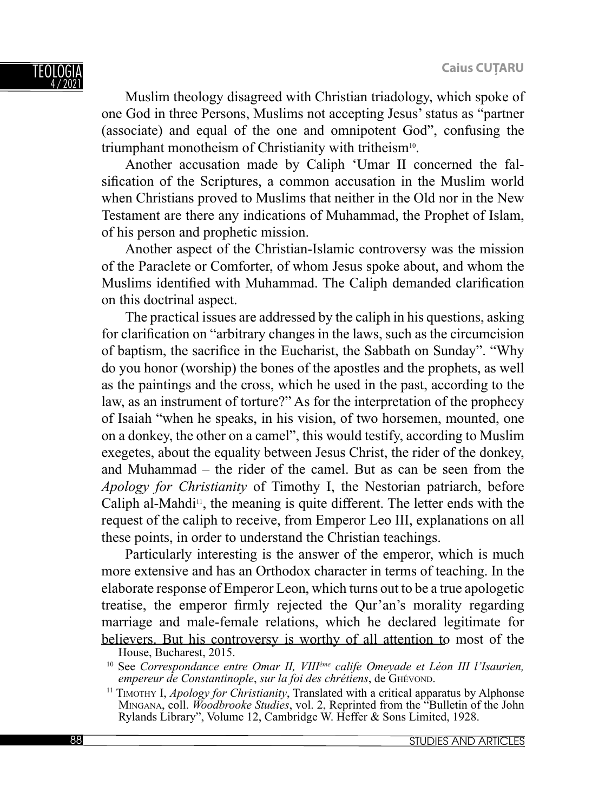Muslim theology disagreed with Christian triadology, which spoke of one God in three Persons, Muslims not accepting Jesus' status as "partner (associate) and equal of the one and omnipotent God", confusing the triumphant monotheism of Christianity with tritheism10.

Another accusation made by Caliph ʻUmar II concerned the falsification of the Scriptures, a common accusation in the Muslim world when Christians proved to Muslims that neither in the Old nor in the New Testament are there any indications of Muhammad, the Prophet of Islam, of his person and prophetic mission.

Another aspect of the Christian-Islamic controversy was the mission of the Paraclete or Comforter, of whom Jesus spoke about, and whom the Muslims identified with Muhammad. The Caliph demanded clarification on this doctrinal aspect.

The practical issues are addressed by the caliph in his questions, asking for clarification on "arbitrary changes in the laws, such as the circumcision of baptism, the sacrifice in the Eucharist, the Sabbath on Sunday". "Why do you honor (worship) the bones of the apostles and the prophets, as well as the paintings and the cross, which he used in the past, according to the law, as an instrument of torture?" As for the interpretation of the prophecy of Isaiah "when he speaks, in his vision, of two horsemen, mounted, one on a donkey, the other on a camel", this would testify, according to Muslim exegetes, about the equality between Jesus Christ, the rider of the donkey, and Muhammad – the rider of the camel. But as can be seen from the *Apology for Christianity* of Timothy I, the Nestorian patriarch, before Caliph al-Mahdi<sup>11</sup>, the meaning is quite different. The letter ends with the request of the caliph to receive, from Emperor Leo III, explanations on all these points, in order to understand the Christian teachings.

Particularly interesting is the answer of the emperor, which is much more extensive and has an Orthodox character in terms of teaching. In the elaborate response of Emperor Leon, which turns out to be a true apologetic treatise, the emperor firmly rejected the Qur'an's morality regarding marriage and male-female relations, which he declared legitimate for believers. But his controversy is worthy of all attention to most of the

House, Bucharest, 2015.

<sup>&</sup>lt;sup>10</sup> See Correspondance entre Omar II, VIII<sup>ème</sup> calife Omeyade et Léon III l'Isaurien, *empereur de Constantinople*, *sur la foi des chrétiens*, de GHÉVOND.

<sup>11</sup> TIMOTHY I, *Apology for Christianity*, Translated with a critical apparatus by Alphonse MINGANA, coll. *Woodbrooke Studies*, vol. 2, Reprinted from the "Bulletin of the John Rylands Library", Volume 12, Cambridge W. Heffer & Sons Limited, 1928.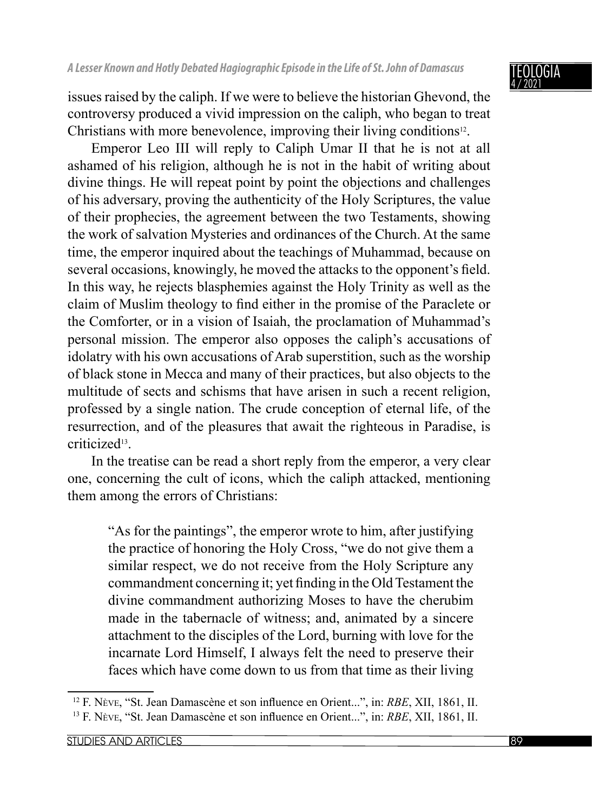### NGIA 4 / 2021

issues raised by the caliph. If we were to believe the historian Ghevond, the controversy produced a vivid impression on the caliph, who began to treat Christians with more benevolence, improving their living conditions<sup>12</sup>.

Emperor Leo III will reply to Caliph Umar II that he is not at all ashamed of his religion, although he is not in the habit of writing about divine things. He will repeat point by point the objections and challenges of his adversary, proving the authenticity of the Holy Scriptures, the value of their prophecies, the agreement between the two Testaments, showing the work of salvation Mysteries and ordinances of the Church. At the same time, the emperor inquired about the teachings of Muhammad, because on several occasions, knowingly, he moved the attacks to the opponent's field. In this way, he rejects blasphemies against the Holy Trinity as well as the claim of Muslim theology to find either in the promise of the Paraclete or the Comforter, or in a vision of Isaiah, the proclamation of Muhammad's personal mission. The emperor also opposes the caliph's accusations of idolatry with his own accusations of Arab superstition, such as the worship of black stone in Mecca and many of their practices, but also objects to the multitude of sects and schisms that have arisen in such a recent religion, professed by a single nation. The crude conception of eternal life, of the resurrection, and of the pleasures that await the righteous in Paradise, is criticized13.

In the treatise can be read a short reply from the emperor, a very clear one, concerning the cult of icons, which the caliph attacked, mentioning them among the errors of Christians:

"As for the paintings", the emperor wrote to him, after justifying the practice of honoring the Holy Cross, "we do not give them a similar respect, we do not receive from the Holy Scripture any commandment concerning it; yet finding in the Old Testament the divine commandment authorizing Moses to have the cherubim made in the tabernacle of witness; and, animated by a sincere attachment to the disciples of the Lord, burning with love for the incarnate Lord Himself, I always felt the need to preserve their faces which have come down to us from that time as their living

<sup>&</sup>lt;sup>12</sup> F. Nève, "St. Jean Damascène et son influence en Orient...", in: *RBE*, XII, 1861, II. <sup>13</sup> F. Nève, "St. Jean Damascène et son influence en Orient...", in: *RBE*, XII, 1861, II.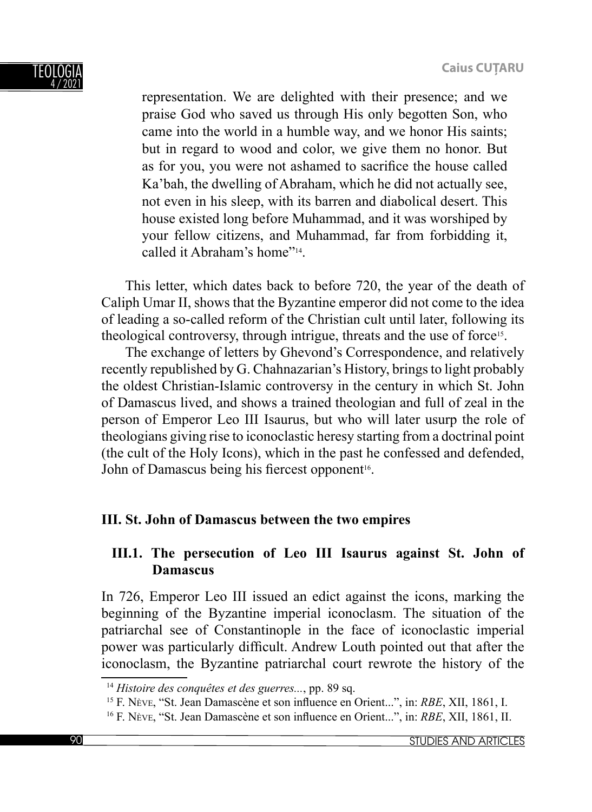

representation. We are delighted with their presence; and we praise God who saved us through His only begotten Son, who came into the world in a humble way, and we honor His saints; but in regard to wood and color, we give them no honor. But as for you, you were not ashamed to sacrifice the house called Ka'bah, the dwelling of Abraham, which he did not actually see, not even in his sleep, with its barren and diabolical desert. This house existed long before Muhammad, and it was worshiped by your fellow citizens, and Muhammad, far from forbidding it, called it Abraham's home"14.

This letter, which dates back to before 720, the year of the death of Caliph Umar II, shows that the Byzantine emperor did not come to the idea of leading a so-called reform of the Christian cult until later, following its theological controversy, through intrigue, threats and the use of force<sup>15</sup>.

The exchange of letters by Ghevond's Correspondence, and relatively recently republished by G. Chahnazarian's History, brings to light probably the oldest Christian-Islamic controversy in the century in which St. John of Damascus lived, and shows a trained theologian and full of zeal in the person of Emperor Leo III Isaurus, but who will later usurp the role of theologians giving rise to iconoclastic heresy starting from a doctrinal point (the cult of the Holy Icons), which in the past he confessed and defended, John of Damascus being his fiercest opponent<sup>16</sup>.

# **III. St. John of Damascus between the two empires**

## **III.1. The persecution of Leo III Isaurus against St. John of Damascus**

In 726, Emperor Leo III issued an edict against the icons, marking the beginning of the Byzantine imperial iconoclasm. The situation of the patriarchal see of Constantinople in the face of iconoclastic imperial power was particularly difficult. Andrew Louth pointed out that after the iconoclasm, the Byzantine patriarchal court rewrote the history of the

<sup>14</sup> *Histoire des conquêtes et des guerres...*, pp. 89 sq.

<sup>&</sup>lt;sup>15</sup> F. Nève, "St. Jean Damascène et son influence en Orient...", in: *RBE*, XII, 1861, I.

<sup>&</sup>lt;sup>16</sup> F. Nève, "St. Jean Damascène et son influence en Orient...", in: *RBE*, XII, 1861, II.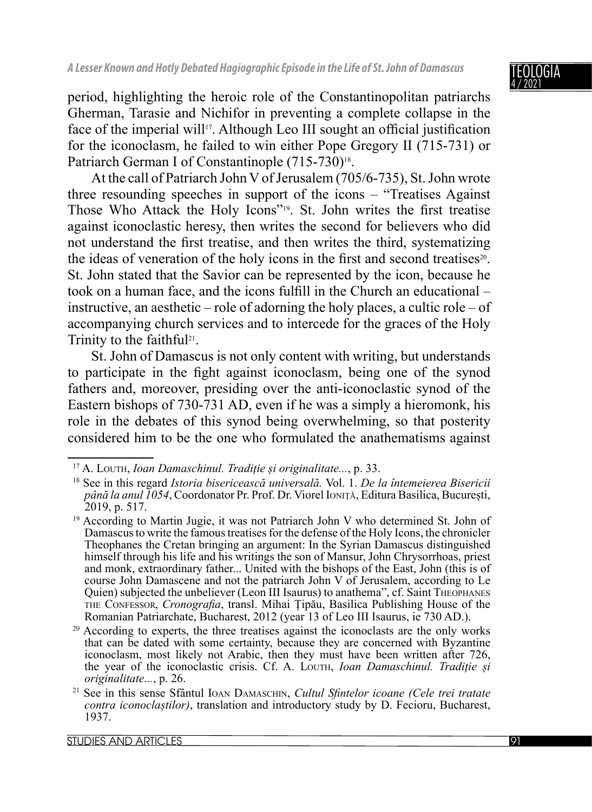period, highlighting the heroic role of the Constantinopolitan patriarchs Gherman, Tarasie and Nichifor in preventing a complete collapse in the face of the imperial will<sup>17</sup>. Although Leo III sought an official justification for the iconoclasm, he failed to win either Pope Gregory II (715-731) or Patriarch German I of Constantinople (715-730)<sup>18</sup>.

At the call of Patriarch John V of Jerusalem (705/6-735), St. John wrote three resounding speeches in support of the icons – "Treatises Against Those Who Attack the Holy Icons"<sup>19</sup>. St. John writes the first treatise against iconoclastic heresy, then writes the second for believers who did not understand the first treatise, and then writes the third, systematizing the ideas of veneration of the holy icons in the first and second treatises<sup>20</sup>. St. John stated that the Savior can be represented by the icon, because he took on a human face, and the icons fulfill in the Church an educational – instructive, an aesthetic – role of adorning the holy places, a cultic role – of accompanying church services and to intercede for the graces of the Holy Trinity to the faithful<sup>21</sup>.

St. John of Damascus is not only content with writing, but understands to participate in the fight against iconoclasm, being one of the synod fathers and, moreover, presiding over the anti-iconoclastic synod of the Eastern bishops of 730-731 AD, even if he was a simply a hieromonk, his role in the debates of this synod being overwhelming, so that posterity considered him to be the one who formulated the anathematisms against

<sup>20</sup> According to experts, the three treatises against the iconoclasts are the only works that can be dated with some certainty, because they are concerned with Byzantine iconoclasm, most likely not Arabic, then they must have been written after 726, the year of the iconoclastic crisis. Cf. A. LOUTH, *Ioan Damaschinul. Tradiție și originalitate...*, p. 26.

<sup>17</sup> A. LOUTH, *Ioan Damaschinul. Tradiție și originalitate...*, p. 33.

<sup>18</sup> See in this regard *Istoria bisericească universală.* Vol. 1. *De la întemeierea Bisericii până la anul 1054*, Coordonator Pr. Prof. Dr. Viorel IONIȚĂ, Editura Basilica, București, 2019, p. 517.

<sup>&</sup>lt;sup>19</sup> According to Martin Jugie, it was not Patriarch John V who determined St. John of Damascus to write the famous treatises for the defense of the Holy Icons, the chronicler Theophanes the Cretan bringing an argument: In the Syrian Damascus distinguished himself through his life and his writings the son of Mansur, John Chrysorrhoas, priest and monk, extraordinary father... United with the bishops of the East, John (this is of course John Damascene and not the patriarch John V of Jerusalem, according to Le Quien) subjected the unbeliever (Leon III Isaurus) to anathema", cf. Saint THEOPHANES THE CONFESSOR, *Cronografia*, transl. Mihai Țipău, Basilica Publishing House of the Romanian Patriarchate, Bucharest, 2012 (year 13 of Leo III Isaurus, ie 730 AD.).

<sup>&</sup>lt;sup>21</sup> See in this sense Sfântul IOAN DAMASCHIN, *Cultul Sfintelor icoane (Cele trei tratate contra iconoclaștilor)*, translation and introductory study by D. Fecioru, Bucharest, 1937.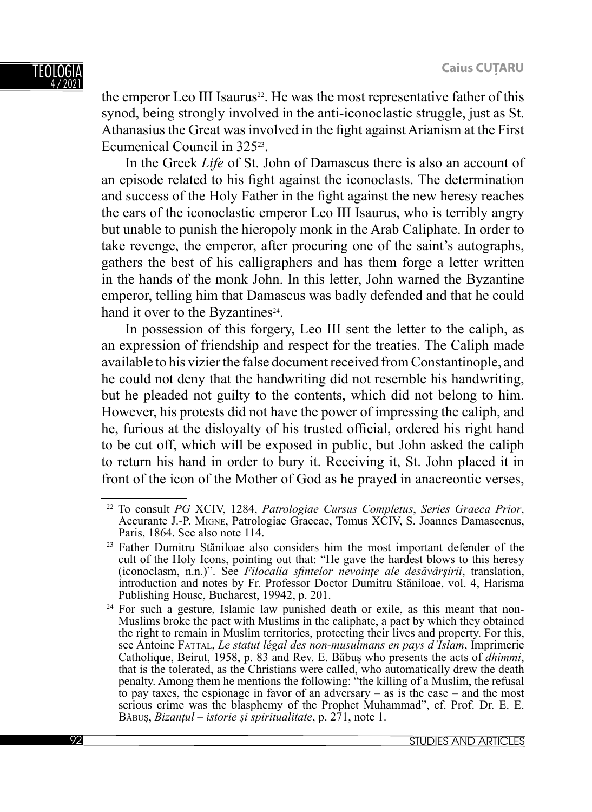the emperor Leo III Isaurus<sup>22</sup>. He was the most representative father of this synod, being strongly involved in the anti-iconoclastic struggle, just as St. Athanasius the Great was involved in the fight against Arianism at the First Ecumenical Council in 32523.

In the Greek *Life* of St. John of Damascus there is also an account of an episode related to his fight against the iconoclasts. The determination and success of the Holy Father in the fight against the new heresy reaches the ears of the iconoclastic emperor Leo III Isaurus, who is terribly angry but unable to punish the hieropoly monk in the Arab Caliphate. In order to take revenge, the emperor, after procuring one of the saint's autographs, gathers the best of his calligraphers and has them forge a letter written in the hands of the monk John. In this letter, John warned the Byzantine emperor, telling him that Damascus was badly defended and that he could hand it over to the Byzantines<sup>24</sup>.

In possession of this forgery, Leo III sent the letter to the caliph, as an expression of friendship and respect for the treaties. The Caliph made available to his vizier the false document received from Constantinople, and he could not deny that the handwriting did not resemble his handwriting, but he pleaded not guilty to the contents, which did not belong to him. However, his protests did not have the power of impressing the caliph, and he, furious at the disloyalty of his trusted official, ordered his right hand to be cut off, which will be exposed in public, but John asked the caliph to return his hand in order to bury it. Receiving it, St. John placed it in front of the icon of the Mother of God as he prayed in anacreontic verses,

<sup>22</sup> To consult *PG* XCIV, 1284, *Patrologiae Cursus Completus*, *Series Graeca Prior*, Accurante J.-P. MIGNE, Patrologiae Graecae, Tomus XCIV, S. Joannes Damascenus, Paris, 1864. See also note 114.

<sup>23</sup> Father Dumitru Stăniloae also considers him the most important defender of the cult of the Holy Icons, pointing out that: "He gave the hardest blows to this heresy (iconoclasm, n.n.)". See *Filocalia sfintelor nevoințe ale desăvârșirii*, translation, introduction and notes by Fr. Professor Doctor Dumitru Stăniloae, vol. 4, Harisma Publishing House, Bucharest, 19942, p. 201.

 $24$  For such a gesture, Islamic law punished death or exile, as this meant that non-Muslims broke the pact with Muslims in the caliphate, a pact by which they obtained the right to remain in Muslim territories, protecting their lives and property. For this, see Antoine FATTAL, *Le statut légal des non-musulmans en pays d'Islam*, Imprimerie Catholique, Beirut, 1958, p. 83 and Rev. E. Băbuș who presents the acts of *dhimmi*, that is the tolerated, as the Christians were called, who automatically drew the death penalty. Among them he mentions the following: "the killing of a Muslim, the refusal to pay taxes, the espionage in favor of an adversary – as is the case – and the most serious crime was the blasphemy of the Prophet Muhammad", cf. Prof. Dr. E. E. BĂBUȘ, *Bizanțul – istorie și spiritualitate*, p. 271, note 1.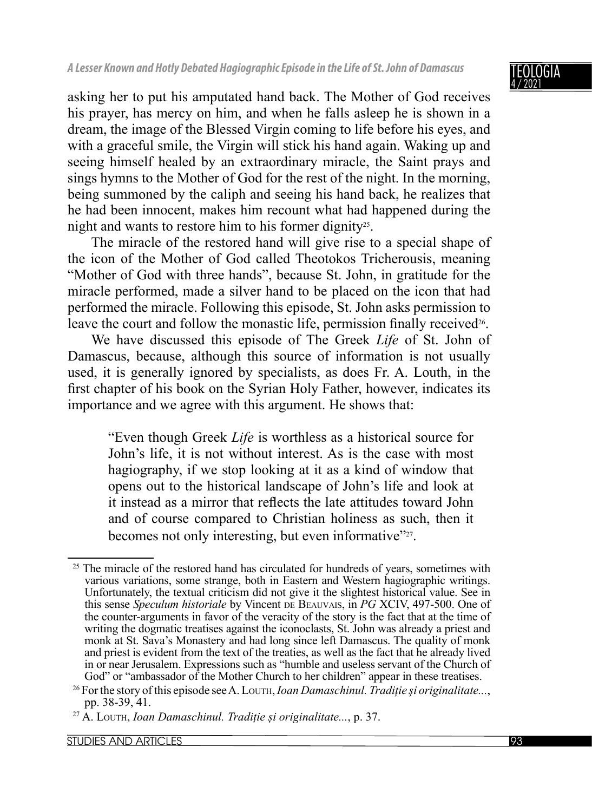asking her to put his amputated hand back. The Mother of God receives his prayer, has mercy on him, and when he falls asleep he is shown in a dream, the image of the Blessed Virgin coming to life before his eyes, and with a graceful smile, the Virgin will stick his hand again. Waking up and seeing himself healed by an extraordinary miracle, the Saint prays and sings hymns to the Mother of God for the rest of the night. In the morning, being summoned by the caliph and seeing his hand back, he realizes that he had been innocent, makes him recount what had happened during the night and wants to restore him to his former dignity<sup>25</sup>.

The miracle of the restored hand will give rise to a special shape of the icon of the Mother of God called Theotokos Tricherousis, meaning "Mother of God with three hands", because St. John, in gratitude for the miracle performed, made a silver hand to be placed on the icon that had performed the miracle. Following this episode, St. John asks permission to leave the court and follow the monastic life, permission finally received<sup>26</sup>.

We have discussed this episode of The Greek *Life* of St. John of Damascus, because, although this source of information is not usually used, it is generally ignored by specialists, as does Fr. A. Louth, in the first chapter of his book on the Syrian Holy Father, however, indicates its importance and we agree with this argument. He shows that:

"Even though Greek *Life* is worthless as a historical source for John's life, it is not without interest. As is the case with most hagiography, if we stop looking at it as a kind of window that opens out to the historical landscape of John's life and look at it instead as a mirror that reflects the late attitudes toward John and of course compared to Christian holiness as such, then it becomes not only interesting, but even informative"<sup>27</sup>.

<sup>&</sup>lt;sup>25</sup> The miracle of the restored hand has circulated for hundreds of years, sometimes with various variations, some strange, both in Eastern and Western hagiographic writings. Unfortunately, the textual criticism did not give it the slightest historical value. See in this sense *Speculum historiale* by Vincent DE BEAUVAIS, in *PG* XCIV, 497-500. One of the counter-arguments in favor of the veracity of the story is the fact that at the time of writing the dogmatic treatises against the iconoclasts, St. John was already a priest and monk at St. Sava's Monastery and had long since left Damascus. The quality of monk and priest is evident from the text of the treaties, as well as the fact that he already lived in or near Jerusalem. Expressions such as "humble and useless servant of the Church of God" or "ambassador of the Mother Church to her children" appear in these treatises.

<sup>26</sup> For the story of this episode see A. LOUTH, *Ioan Damaschinul. Tradiție și originalitate...*, pp. 38-39, 41.

<sup>27</sup> A. LOUTH, *Ioan Damaschinul. Tradiție și originalitate...*, p. 37.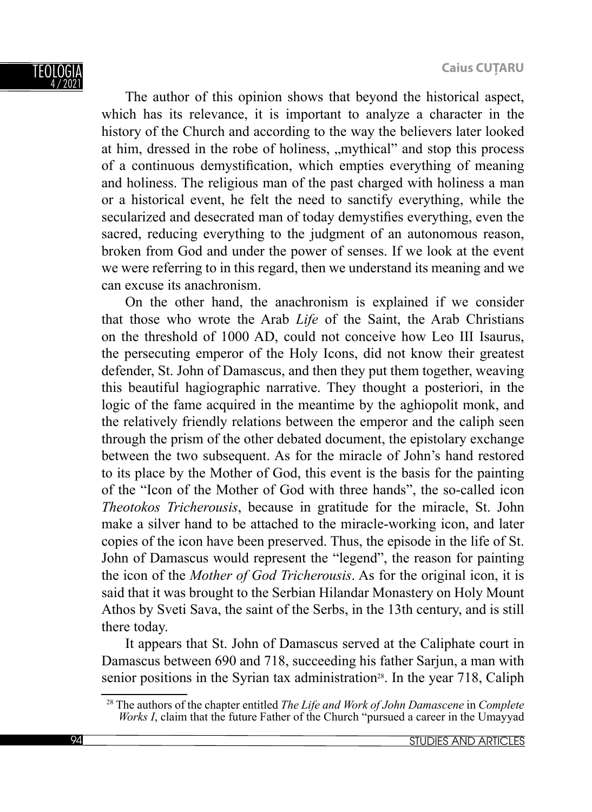**Caius CUŢARU**

TFOI OG 4 / 2021

The author of this opinion shows that beyond the historical aspect, which has its relevance, it is important to analyze a character in the history of the Church and according to the way the believers later looked at him, dressed in the robe of holiness, "mythical" and stop this process of a continuous demystification, which empties everything of meaning and holiness. The religious man of the past charged with holiness a man or a historical event, he felt the need to sanctify everything, while the secularized and desecrated man of today demystifies everything, even the sacred, reducing everything to the judgment of an autonomous reason, broken from God and under the power of senses. If we look at the event we were referring to in this regard, then we understand its meaning and we can excuse its anachronism.

On the other hand, the anachronism is explained if we consider that those who wrote the Arab *Life* of the Saint, the Arab Christians on the threshold of 1000 AD, could not conceive how Leo III Isaurus, the persecuting emperor of the Holy Icons, did not know their greatest defender, St. John of Damascus, and then they put them together, weaving this beautiful hagiographic narrative. They thought a posteriori, in the logic of the fame acquired in the meantime by the aghiopolit monk, and the relatively friendly relations between the emperor and the caliph seen through the prism of the other debated document, the epistolary exchange between the two subsequent. As for the miracle of John's hand restored to its place by the Mother of God, this event is the basis for the painting of the "Icon of the Mother of God with three hands", the so-called icon *Theotokos Tricherousis*, because in gratitude for the miracle, St. John make a silver hand to be attached to the miracle-working icon, and later copies of the icon have been preserved. Thus, the episode in the life of St. John of Damascus would represent the "legend", the reason for painting the icon of the *Mother of God Tricherousis*. As for the original icon, it is said that it was brought to the Serbian Hilandar Monastery on Holy Mount Athos by Sveti Sava, the saint of the Serbs, in the 13th century, and is still there today.

It appears that St. John of Damascus served at the Caliphate court in Damascus between 690 and 718, succeeding his father Sarjun, a man with senior positions in the Syrian tax administration<sup>28</sup>. In the year 718, Caliph

<sup>28</sup> The authors of the chapter entitled *The Life and Work of John Damascene* in *Complete Works I*, claim that the future Father of the Church "pursued a career in the Umayyad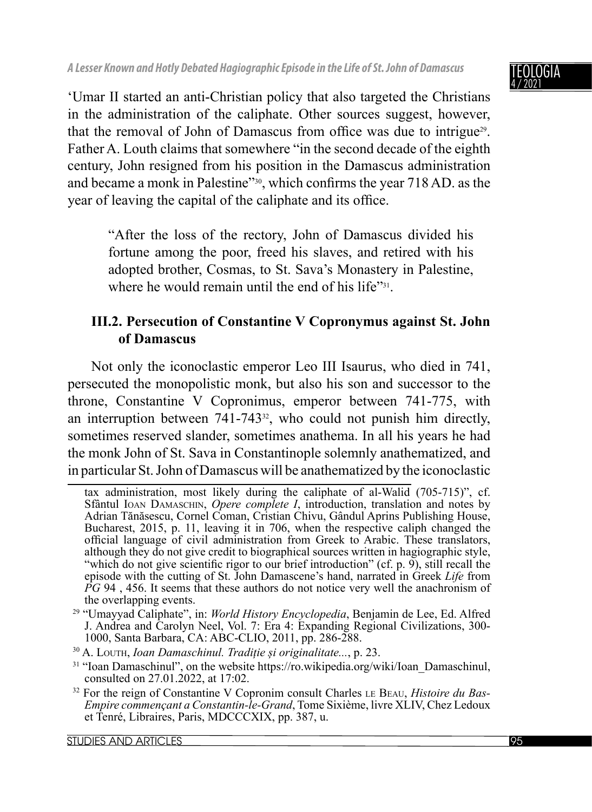

ʻUmar II started an anti-Christian policy that also targeted the Christians in the administration of the caliphate. Other sources suggest, however, that the removal of John of Damascus from office was due to intrigue<sup>29</sup>. Father A. Louth claims that somewhere "in the second decade of the eighth century, John resigned from his position in the Damascus administration and became a monk in Palestine"<sup>30</sup>, which confirms the year 718 AD. as the year of leaving the capital of the caliphate and its office.

"After the loss of the rectory, John of Damascus divided his fortune among the poor, freed his slaves, and retired with his adopted brother, Cosmas, to St. Sava's Monastery in Palestine, where he would remain until the end of his life"<sup>31</sup>.

# **III.2. Persecution of Constantine V Copronymus against St. John of Damascus**

Not only the iconoclastic emperor Leo III Isaurus, who died in 741, persecuted the monopolistic monk, but also his son and successor to the throne, Constantine V Copronimus, emperor between 741-775, with an interruption between  $741-743<sup>32</sup>$ , who could not punish him directly, sometimes reserved slander, sometimes anathema. In all his years he had the monk John of St. Sava in Constantinople solemnly anathematized, and in particular St. John of Damascus will be anathematized by the iconoclastic

tax administration, most likely during the caliphate of al-Walid (705-715)", cf. Sfântul IOAN DAMASCHIN, *Opere complete I*, introduction, translation and notes by Adrian Tănăsescu, Cornel Coman, Cristian Chivu, Gândul Aprins Publishing House, Bucharest, 2015, p. 11, leaving it in 706, when the respective caliph changed the official language of civil administration from Greek to Arabic. These translators, although they do not give credit to biographical sources written in hagiographic style, "which do not give scientific rigor to our brief introduction" (cf. p. 9), still recall the episode with the cutting of St. John Damascene's hand, narrated in Greek *Life* from *PG* 94, 456. It seems that these authors do not notice very well the anachronism of the overlapping events.

<sup>29 &</sup>quot;Umayyad Caliphate", in: *World History Encyclopedia*, Benjamin de Lee, Ed. Alfred J. Andrea and Carolyn Neel, Vol. 7: Era 4: Expanding Regional Civilizations, 300- 1000, Santa Barbara, CA: ABC-CLIO, 2011, pp. 286-288.

<sup>30</sup> A. LOUTH, *Ioan Damaschinul. Tradiție și originalitate...*, p. 23.

<sup>&</sup>lt;sup>31</sup> "Ioan Damaschinul", on the website https://ro.wikipedia.org/wiki/Ioan\_Damaschinul, consulted on 27.01.2022, at 17:02.

<sup>32</sup> For the reign of Constantine V Copronim consult Charles LE BEAU, *Histoire du Bas-Empire commençant a Constantin-le-Grand*, Tome Sixième, livre XLIV, Chez Ledoux et Tenré, Libraires, Paris, MDCCCXIX, pp. 387, u.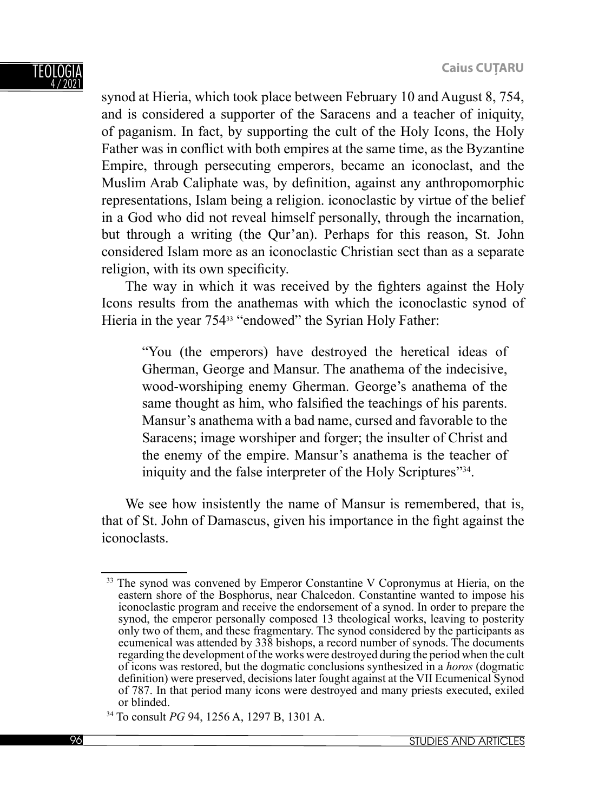

synod at Hieria, which took place between February 10 and August 8, 754, and is considered a supporter of the Saracens and a teacher of iniquity, of paganism. In fact, by supporting the cult of the Holy Icons, the Holy Father was in conflict with both empires at the same time, as the Byzantine Empire, through persecuting emperors, became an iconoclast, and the Muslim Arab Caliphate was, by definition, against any anthropomorphic representations, Islam being a religion. iconoclastic by virtue of the belief in a God who did not reveal himself personally, through the incarnation, but through a writing (the Qur'an). Perhaps for this reason, St. John considered Islam more as an iconoclastic Christian sect than as a separate religion, with its own specificity.

The way in which it was received by the fighters against the Holy Icons results from the anathemas with which the iconoclastic synod of Hieria in the year 75433 "endowed" the Syrian Holy Father:

"You (the emperors) have destroyed the heretical ideas of Gherman, George and Mansur. The anathema of the indecisive, wood-worshiping enemy Gherman. George's anathema of the same thought as him, who falsified the teachings of his parents. Mansur's anathema with a bad name, cursed and favorable to the Saracens; image worshiper and forger; the insulter of Christ and the enemy of the empire. Mansur's anathema is the teacher of iniquity and the false interpreter of the Holy Scriptures<sup>"34</sup>.

We see how insistently the name of Mansur is remembered, that is, that of St. John of Damascus, given his importance in the fight against the iconoclasts.

<sup>&</sup>lt;sup>33</sup> The synod was convened by Emperor Constantine V Copronymus at Hieria, on the eastern shore of the Bosphorus, near Chalcedon. Constantine wanted to impose his iconoclastic program and receive the endorsement of a synod. In order to prepare the synod, the emperor personally composed 13 theological works, leaving to posterity only two of them, and these fragmentary. The synod considered by the participants as ecumenical was attended by 338 bishops, a record number of synods. The documents regarding the development of the works were destroyed during the period when the cult of icons was restored, but the dogmatic conclusions synthesized in a *horos* (dogmatic definition) were preserved, decisions later fought against at the VII Ecumenical Synod of 787. In that period many icons were destroyed and many priests executed, exiled or blinded.

<sup>34</sup> To consult *PG* 94, 1256 A, 1297 B, 1301 A.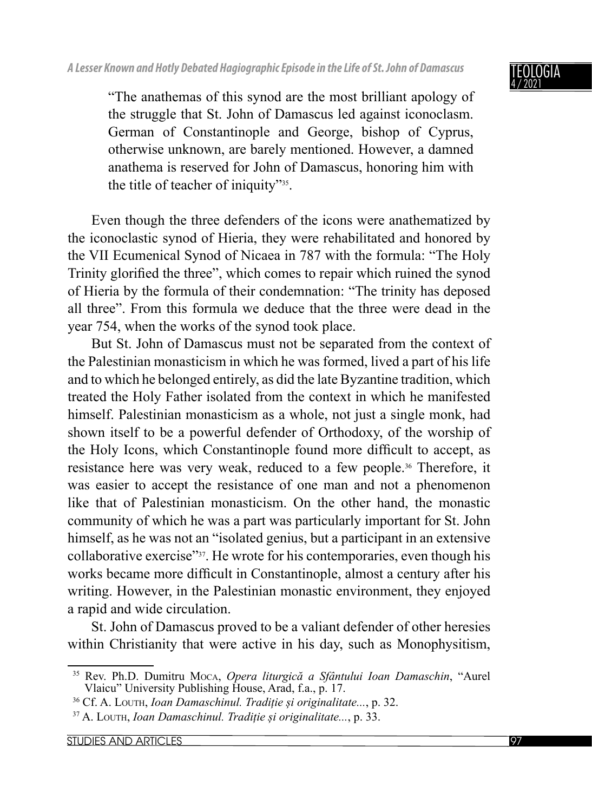

"The anathemas of this synod are the most brilliant apology of the struggle that St. John of Damascus led against iconoclasm. German of Constantinople and George, bishop of Cyprus, otherwise unknown, are barely mentioned. However, a damned anathema is reserved for John of Damascus, honoring him with the title of teacher of iniquity"35.

Even though the three defenders of the icons were anathematized by the iconoclastic synod of Hieria, they were rehabilitated and honored by the VII Ecumenical Synod of Nicaea in 787 with the formula: "The Holy Trinity glorified the three", which comes to repair which ruined the synod of Hieria by the formula of their condemnation: "The trinity has deposed all three". From this formula we deduce that the three were dead in the year 754, when the works of the synod took place.

But St. John of Damascus must not be separated from the context of the Palestinian monasticism in which he was formed, lived a part of his life and to which he belonged entirely, as did the late Byzantine tradition, which treated the Holy Father isolated from the context in which he manifested himself. Palestinian monasticism as a whole, not just a single monk, had shown itself to be a powerful defender of Orthodoxy, of the worship of the Holy Icons, which Constantinople found more difficult to accept, as resistance here was very weak, reduced to a few people.36 Therefore, it was easier to accept the resistance of one man and not a phenomenon like that of Palestinian monasticism. On the other hand, the monastic community of which he was a part was particularly important for St. John himself, as he was not an "isolated genius, but a participant in an extensive collaborative exercise"37. He wrote for his contemporaries, even though his works became more difficult in Constantinople, almost a century after his writing. However, in the Palestinian monastic environment, they enjoyed a rapid and wide circulation.

St. John of Damascus proved to be a valiant defender of other heresies within Christianity that were active in his day, such as Monophysitism,

<sup>35</sup> Rev. Ph.D. Dumitru MOCA, *Opera liturgică a Sfântului Ioan Damaschin*, "Aurel Vlaicu" University Publishing House, Arad, f.a., p. 17.

<sup>36</sup> Cf. A. LOUTH, *Ioan Damaschinul. Tradiție și originalitate...*, p. 32.

<sup>37</sup> A. LOUTH, *Ioan Damaschinul. Tradiție și originalitate...*, p. 33.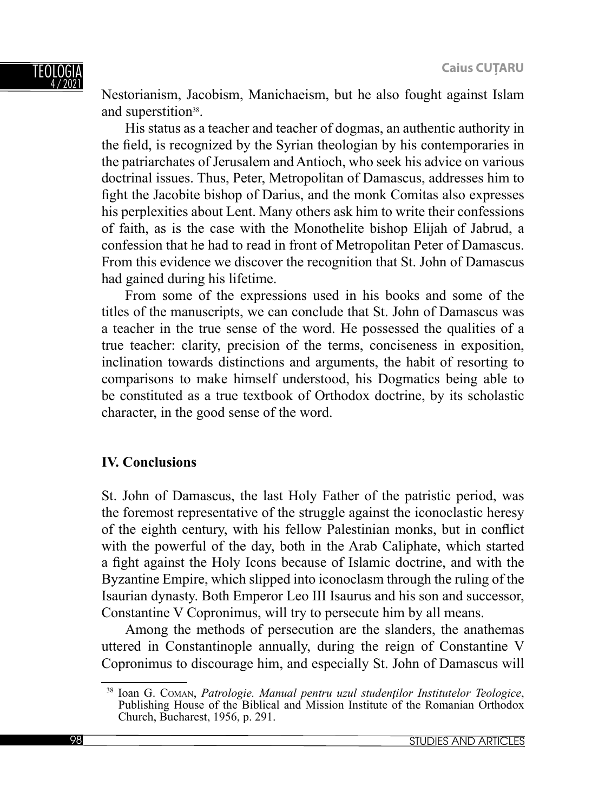Nestorianism, Jacobism, Manichaeism, but he also fought against Islam and superstition<sup>38</sup>.

His status as a teacher and teacher of dogmas, an authentic authority in the field, is recognized by the Syrian theologian by his contemporaries in the patriarchates of Jerusalem and Antioch, who seek his advice on various doctrinal issues. Thus, Peter, Metropolitan of Damascus, addresses him to fight the Jacobite bishop of Darius, and the monk Comitas also expresses his perplexities about Lent. Many others ask him to write their confessions of faith, as is the case with the Monothelite bishop Elijah of Jabrud, a confession that he had to read in front of Metropolitan Peter of Damascus. From this evidence we discover the recognition that St. John of Damascus had gained during his lifetime.

From some of the expressions used in his books and some of the titles of the manuscripts, we can conclude that St. John of Damascus was a teacher in the true sense of the word. He possessed the qualities of a true teacher: clarity, precision of the terms, conciseness in exposition, in clination towards distinctions and arguments, the habit of resorting to comparisons to make himself understood, his Dogmatics being able to be constituted as a true textbook of Orthodox doctrine, by its scholastic character, in the good sense of the word.

# **IV. Conclusions**

St. John of Damascus, the last Holy Father of the patristic period, was the foremost representative of the struggle against the iconoclastic heresy of the eighth century, with his fellow Palestinian monks, but in conflict with the powerful of the day, both in the Arab Caliphate, which started a fight against the Holy Icons because of Islamic doctrine, and with the Byzantine Empire, which slipped into iconoclasm through the ruling of the Isaurian dynasty. Both Emperor Leo III Isaurus and his son and successor, Constantine V Copronimus, will try to persecute him by all means.

Among the methods of persecution are the slanders, the anathemas uttered in Constantinople annually, during the reign of Constantine V Copronimus to discourage him, and especially St. John of Damascus will

<sup>38</sup> Ioan G. COMAN, *Patrologie. Manual pentru uzul studenţilor Institutelor Teologice*, Publishing House of the Biblical and Mission Institute of the Romanian Orthodox Church, Bucharest, 1956, p. 291.